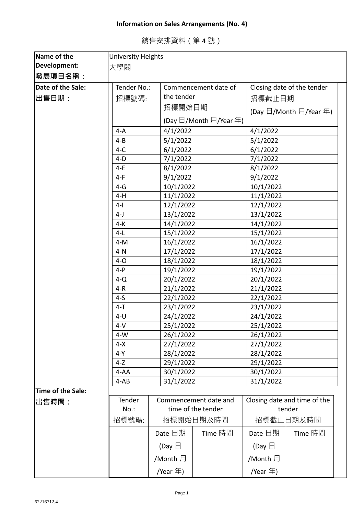## **Information on Sales Arrangements (No. 4)**

| Name of the       | University Heights |                  |                                     |                  |                                     |  |
|-------------------|--------------------|------------------|-------------------------------------|------------------|-------------------------------------|--|
| Development:      | 大學閣                |                  |                                     |                  |                                     |  |
| 發展項目名稱:           |                    |                  |                                     |                  |                                     |  |
| Date of the Sale: | Tender No.:        |                  | Commencement date of                |                  | Closing date of the tender          |  |
| 出售日期:             | 招標號碼:              | the tender       |                                     | 招標截止日期           |                                     |  |
|                   |                    | 招標開始日期           |                                     |                  | (Day 日/Month 月/Year 年)              |  |
|                   |                    |                  | (Day 日/Month 月/Year 年)              |                  |                                     |  |
|                   | $4-A$              | 4/1/2022         |                                     | 4/1/2022         |                                     |  |
|                   | $4 - B$            | 5/1/2022         |                                     | 5/1/2022         |                                     |  |
|                   | $4-C$              | 6/1/2022         |                                     |                  |                                     |  |
|                   | $4-D$              |                  | 7/1/2022                            |                  | 7/1/2022                            |  |
|                   | 4-E                | 8/1/2022         |                                     | 8/1/2022         |                                     |  |
|                   | $4-F$              | 9/1/2022         |                                     | 9/1/2022         |                                     |  |
|                   | $4-G$              | 10/1/2022        |                                     | 10/1/2022        |                                     |  |
|                   | $4-H$              | 11/1/2022        |                                     | 11/1/2022        |                                     |  |
|                   | $4 - 1$            | 12/1/2022        |                                     | 12/1/2022        |                                     |  |
|                   | $4-J$              | 13/1/2022        |                                     | 13/1/2022        |                                     |  |
|                   | $4-K$              |                  | 14/1/2022                           |                  | 14/1/2022                           |  |
|                   | $4-L$              |                  | 15/1/2022                           |                  | 15/1/2022                           |  |
|                   | $4-M$              | 16/1/2022        |                                     | 16/1/2022        |                                     |  |
|                   | $4-N$              |                  | 17/1/2022                           |                  | 17/1/2022                           |  |
|                   | $4-0$              |                  | 18/1/2022                           |                  | 18/1/2022                           |  |
|                   | $4-P$              |                  | 19/1/2022                           |                  | 19/1/2022                           |  |
|                   | $4-Q$              | 20/1/2022        |                                     | 20/1/2022        |                                     |  |
|                   | $4-R$              | 21/1/2022        |                                     | 21/1/2022        |                                     |  |
|                   | $4-5$              | 22/1/2022        |                                     | 22/1/2022        |                                     |  |
|                   | $4 - T$            | 23/1/2022        |                                     | 23/1/2022        |                                     |  |
|                   | $4-U$              | 24/1/2022        |                                     | 24/1/2022        |                                     |  |
|                   | $4-V$              | 25/1/2022        |                                     | 25/1/2022        |                                     |  |
|                   | $4-W$              | 26/1/2022        |                                     | 26/1/2022        |                                     |  |
|                   | $4 - X$            |                  | 27/1/2022<br>28/1/2022<br>29/1/2022 |                  | 27/1/2022<br>28/1/2022<br>29/1/2022 |  |
|                   | $4-Y$              |                  |                                     |                  |                                     |  |
|                   | $4-Z$              |                  |                                     |                  |                                     |  |
|                   | $4 - AA$           |                  | 30/1/2022                           |                  | 30/1/2022                           |  |
|                   | $4-AB$             | 31/1/2022        |                                     | 31/1/2022        |                                     |  |
| Time of the Sale: |                    |                  |                                     |                  |                                     |  |
| 出售時間:             | Tender             |                  | Commencement date and               |                  | Closing date and time of the        |  |
|                   | $No.$ :            |                  | time of the tender                  |                  | tender                              |  |
|                   | 招標號碼:              |                  | 招標開始日期及時間                           |                  | 招標截止日期及時間                           |  |
|                   |                    | Date 日期          | Time 時間                             | Date 日期          | Time 時間                             |  |
|                   |                    | (Day $\boxminus$ |                                     | (Day $\boxminus$ |                                     |  |
|                   |                    | /Month 月         |                                     | /Month 月         |                                     |  |
|                   |                    | /Year $\pm$ )    |                                     | /Year 年)         |                                     |  |

## 銷售安排資料(第 4 號)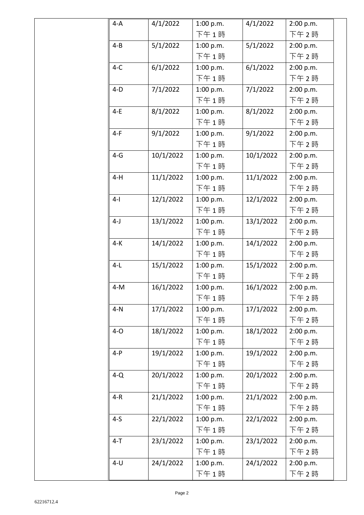| $4-A$   | 4/1/2022  | 1:00 p.m. | 4/1/2022  | 2:00 p.m. |
|---------|-----------|-----------|-----------|-----------|
|         |           | 下午1時      |           | 下午 2時     |
| $4 - B$ | 5/1/2022  | 1:00 p.m. | 5/1/2022  | 2:00 p.m. |
|         |           | 下午1時      |           | 下午2時      |
| $4-C$   | 6/1/2022  | 1:00 p.m. | 6/1/2022  | 2:00 p.m. |
|         |           | 下午1時      |           | 下午 2時     |
| $4-D$   | 7/1/2022  | 1:00 p.m. | 7/1/2022  | 2:00 p.m. |
|         |           | 下午1時      |           | 下午 2時     |
| $4-E$   | 8/1/2022  | 1:00 p.m. | 8/1/2022  | 2:00 p.m. |
|         |           | 下午1時      |           | 下午2時      |
| $4-F$   | 9/1/2022  | 1:00 p.m. | 9/1/2022  | 2:00 p.m. |
|         |           | 下午1時      |           | 下午2時      |
| $4-G$   | 10/1/2022 | 1:00 p.m. | 10/1/2022 | 2:00 p.m. |
|         |           | 下午1時      |           | 下午 2時     |
| $4-H$   | 11/1/2022 | 1:00 p.m. | 11/1/2022 | 2:00 p.m. |
|         |           | 下午1時      |           | 下午 2時     |
| $4-1$   | 12/1/2022 | 1:00 p.m. | 12/1/2022 | 2:00 p.m. |
|         |           | 下午1時      |           | 下午 2時     |
| $4-J$   | 13/1/2022 | 1:00 p.m. | 13/1/2022 | 2:00 p.m. |
|         |           | 下午1時      |           | 下午 2時     |
| $4-K$   | 14/1/2022 | 1:00 p.m. | 14/1/2022 | 2:00 p.m. |
|         |           | 下午1時      |           | 下午 2時     |
| $4-L$   | 15/1/2022 | 1:00 p.m. | 15/1/2022 | 2:00 p.m. |
|         |           | 下午1時      |           | 下午 2時     |
| $4-M$   | 16/1/2022 | 1:00 p.m. | 16/1/2022 | 2:00 p.m. |
|         |           | 下午1時      |           | 下午 2 時    |
| $4-N$   | 17/1/2022 | 1:00 p.m. | 17/1/2022 | 2:00 p.m. |
|         |           | 下午1時      |           | 下午 2時     |
| $4-O$   | 18/1/2022 | 1:00 p.m. | 18/1/2022 | 2:00 p.m. |
|         |           | 下午1時      |           | 下午 2時     |
| $4-P$   | 19/1/2022 | 1:00 p.m. | 19/1/2022 | 2:00 p.m. |
|         |           | 下午1時      |           | 下午 2時     |
| $4-Q$   | 20/1/2022 | 1:00 p.m. | 20/1/2022 | 2:00 p.m. |
|         |           | 下午1時      |           | 下午 2時     |
| $4-R$   | 21/1/2022 | 1:00 p.m. | 21/1/2022 | 2:00 p.m. |
|         |           | 下午1時      |           | 下午 2時     |
| $4-5$   | 22/1/2022 | 1:00 p.m. | 22/1/2022 | 2:00 p.m. |
|         |           | 下午1時      |           | 下午 2時     |
| $4 - T$ | 23/1/2022 | 1:00 p.m. | 23/1/2022 | 2:00 p.m. |
|         |           | 下午1時      |           | 下午 2時     |
| $4-U$   | 24/1/2022 | 1:00 p.m. | 24/1/2022 | 2:00 p.m. |
|         |           | 下午1時      |           | 下午 2 時    |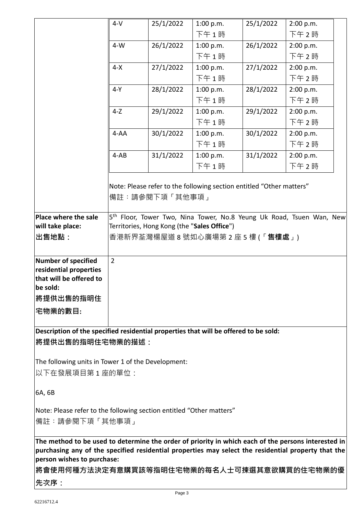|                                                                                                                                                                                                                                                                                         | $4-V$          | 25/1/2022      | 1:00 p.m.                                                            | 25/1/2022 | 2:00 p.m.                                                                        |  |  |
|-----------------------------------------------------------------------------------------------------------------------------------------------------------------------------------------------------------------------------------------------------------------------------------------|----------------|----------------|----------------------------------------------------------------------|-----------|----------------------------------------------------------------------------------|--|--|
|                                                                                                                                                                                                                                                                                         |                |                | 下午1時                                                                 |           | 下午 2時                                                                            |  |  |
|                                                                                                                                                                                                                                                                                         | $4-W$          | 26/1/2022      | 1:00 p.m.                                                            | 26/1/2022 | 2:00 p.m.                                                                        |  |  |
|                                                                                                                                                                                                                                                                                         |                |                | 下午1時                                                                 |           | 下午2時                                                                             |  |  |
|                                                                                                                                                                                                                                                                                         | $4-X$          | 27/1/2022      | 1:00 p.m.                                                            | 27/1/2022 | 2:00 p.m.                                                                        |  |  |
|                                                                                                                                                                                                                                                                                         |                |                | 下午1時                                                                 |           | 下午2時                                                                             |  |  |
|                                                                                                                                                                                                                                                                                         | $4-Y$          | 28/1/2022      | 1:00 p.m.                                                            | 28/1/2022 | 2:00 p.m.                                                                        |  |  |
|                                                                                                                                                                                                                                                                                         |                |                | 下午1時                                                                 |           | 下午 2時                                                                            |  |  |
|                                                                                                                                                                                                                                                                                         | $4-Z$          | 29/1/2022      | 1:00 p.m.                                                            | 29/1/2022 | 2:00 p.m.                                                                        |  |  |
|                                                                                                                                                                                                                                                                                         |                |                | 下午1時                                                                 |           | 下午 2時                                                                            |  |  |
|                                                                                                                                                                                                                                                                                         | $4 - AA$       | 30/1/2022      | 1:00 p.m.                                                            | 30/1/2022 | 2:00 p.m.                                                                        |  |  |
|                                                                                                                                                                                                                                                                                         |                |                | 下午1時                                                                 |           | 下午 2時                                                                            |  |  |
|                                                                                                                                                                                                                                                                                         | $4-AB$         | 31/1/2022      | 1:00 p.m.                                                            | 31/1/2022 | 2:00 p.m.                                                                        |  |  |
|                                                                                                                                                                                                                                                                                         |                |                | 下午1時                                                                 |           | 下午 2時                                                                            |  |  |
| Place where the sale                                                                                                                                                                                                                                                                    |                | 備註:請參閱下項「其他事項」 | Note: Please refer to the following section entitled "Other matters" |           | 5 <sup>th</sup> Floor, Tower Two, Nina Tower, No.8 Yeung Uk Road, Tsuen Wan, New |  |  |
| will take place:                                                                                                                                                                                                                                                                        |                |                | Territories, Hong Kong (the "Sales Office")                          |           |                                                                                  |  |  |
| <b>出售地點:</b>                                                                                                                                                                                                                                                                            |                |                | 香港新界荃灣楊屋道 8 號如心廣場第 2 座 5 樓 (「 <b>售樓處</b> 」)                          |           |                                                                                  |  |  |
|                                                                                                                                                                                                                                                                                         |                |                |                                                                      |           |                                                                                  |  |  |
| Number of specified<br>residential properties<br>that will be offered to<br>be sold:                                                                                                                                                                                                    | $\overline{2}$ |                |                                                                      |           |                                                                                  |  |  |
| 將提供出售的指明住                                                                                                                                                                                                                                                                               |                |                |                                                                      |           |                                                                                  |  |  |
| 宅物業的數目:                                                                                                                                                                                                                                                                                 |                |                |                                                                      |           |                                                                                  |  |  |
|                                                                                                                                                                                                                                                                                         |                |                |                                                                      |           |                                                                                  |  |  |
| Description of the specified residential properties that will be offered to be sold:<br><b>│將提供出售的指明住宅物業的描述:</b>                                                                                                                                                                        |                |                |                                                                      |           |                                                                                  |  |  |
|                                                                                                                                                                                                                                                                                         |                |                |                                                                      |           |                                                                                  |  |  |
| The following units in Tower 1 of the Development:<br> 以下在發展項目第 1 座的單位:                                                                                                                                                                                                                 |                |                |                                                                      |           |                                                                                  |  |  |
| 6A, 6B                                                                                                                                                                                                                                                                                  |                |                |                                                                      |           |                                                                                  |  |  |
| Note: Please refer to the following section entitled "Other matters"                                                                                                                                                                                                                    |                |                |                                                                      |           |                                                                                  |  |  |
| 備註:請參閱下項「其他事項」                                                                                                                                                                                                                                                                          |                |                |                                                                      |           |                                                                                  |  |  |
|                                                                                                                                                                                                                                                                                         |                |                |                                                                      |           |                                                                                  |  |  |
| The method to be used to determine the order of priority in which each of the persons interested in<br>purchasing any of the specified residential properties may select the residential property that the<br>person wishes to purchase:<br> 將會使用何種方法決定有意購買該等指明住宅物業的每名人士可揀選其意欲購買的住宅物業的優 |                |                |                                                                      |           |                                                                                  |  |  |
| 先次序:                                                                                                                                                                                                                                                                                    |                |                |                                                                      |           |                                                                                  |  |  |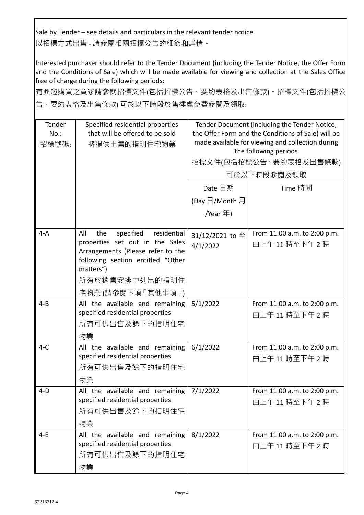Sale by Tender – see details and particulars in the relevant tender notice. 以招標方式出售 - 請參閱相關招標公告的細節和詳情。

Interested purchaser should refer to the Tender Document (including the Tender Notice, the Offer Form and the Conditions of Sale) which will be made available for viewing and collection at the Sales Office free of charge during the following periods:

有興趣購買之買家請參閱招標文件(包括招標公告、要約表格及出售條款)。招標文件(包括招標公 告、要約表格及出售條款) 可於以下時段於售樓處免費參閱及領取:

| Tender<br>$No.$ :<br>招標號碼: | Specified residential properties<br>that will be offered to be sold<br>將提供出售的指明住宅物業                                                                              | Tender Document (including the Tender Notice,<br>the Offer Form and the Conditions of Sale) will be<br>made available for viewing and collection during<br>the following periods<br>招標文件(包括招標公告、要約表格及出售條款)<br>可於以下時段參閱及領取 |                                             |  |
|----------------------------|------------------------------------------------------------------------------------------------------------------------------------------------------------------|---------------------------------------------------------------------------------------------------------------------------------------------------------------------------------------------------------------------------|---------------------------------------------|--|
|                            |                                                                                                                                                                  | Date 日期                                                                                                                                                                                                                   | Time 時間                                     |  |
|                            |                                                                                                                                                                  | (Day 日/Month 月                                                                                                                                                                                                            |                                             |  |
|                            |                                                                                                                                                                  | /Year 年)                                                                                                                                                                                                                  |                                             |  |
| $4-A$                      | All<br>specified<br>the<br>residential<br>properties set out in the Sales<br>Arrangements (Please refer to the<br>following section entitled "Other<br>matters") | 31/12/2021 to $\overline{\mathcal{L}}$<br>4/1/2022                                                                                                                                                                        | From 11:00 a.m. to 2:00 p.m.<br>由上午11時至下午2時 |  |
|                            | 所有於銷售安排中列出的指明住                                                                                                                                                   |                                                                                                                                                                                                                           |                                             |  |
|                            | 宅物業 (請參閱下項 「其他事項」)                                                                                                                                               |                                                                                                                                                                                                                           |                                             |  |
| $4 - B$                    | All the available and remaining<br>specified residential properties<br>所有可供出售及餘下的指明住宅<br>物業                                                                      | 5/1/2022                                                                                                                                                                                                                  | From 11:00 a.m. to 2:00 p.m.<br>由上午11時至下午2時 |  |
| $4-C$                      | All the available and remaining<br>specified residential properties<br>所有可供出售及餘下的指明住宅<br>物業                                                                      | 6/1/2022                                                                                                                                                                                                                  | From 11:00 a.m. to 2:00 p.m.<br>由上午11時至下午2時 |  |
| $4-D$                      | All the available and remaining $7/1/2022$<br>specified residential properties<br>所有可供出售及餘下的指明住宅<br>物業                                                           |                                                                                                                                                                                                                           | From 11:00 a.m. to 2:00 p.m.<br>由上午11時至下午2時 |  |
| $4-E$                      | All the available and remaining<br>specified residential properties<br>所有可供出售及餘下的指明住宅<br>物業                                                                      | 8/1/2022                                                                                                                                                                                                                  | From 11:00 a.m. to 2:00 p.m.<br>由上午11時至下午2時 |  |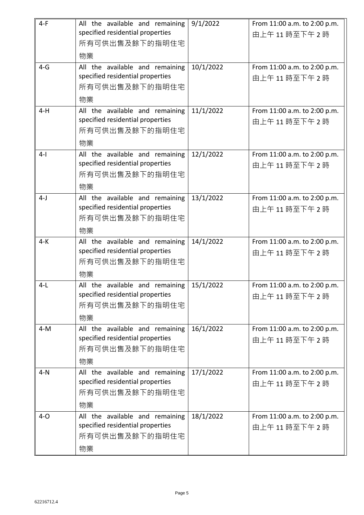| $4-F$ | All the available and remaining<br>specified residential properties<br>所有可供出售及餘下的指明住宅<br>物業 | 9/1/2022  | From 11:00 a.m. to 2:00 p.m.<br>由上午11時至下午2時 |
|-------|---------------------------------------------------------------------------------------------|-----------|---------------------------------------------|
| $4-G$ | All the available and remaining<br>specified residential properties<br>所有可供出售及餘下的指明住宅<br>物業 | 10/1/2022 | From 11:00 a.m. to 2:00 p.m.<br>由上午11時至下午2時 |
| $4-H$ | All the available and remaining<br>specified residential properties<br>所有可供出售及餘下的指明住宅<br>物業 | 11/1/2022 | From 11:00 a.m. to 2:00 p.m.<br>由上午11時至下午2時 |
| $4-1$ | All the available and remaining<br>specified residential properties<br>所有可供出售及餘下的指明住宅<br>物業 | 12/1/2022 | From 11:00 a.m. to 2:00 p.m.<br>由上午11時至下午2時 |
| $4-J$ | All the available and remaining<br>specified residential properties<br>所有可供出售及餘下的指明住宅<br>物業 | 13/1/2022 | From 11:00 a.m. to 2:00 p.m.<br>由上午11時至下午2時 |
| $4-K$ | All the available and remaining<br>specified residential properties<br>所有可供出售及餘下的指明住宅<br>物業 | 14/1/2022 | From 11:00 a.m. to 2:00 p.m.<br>由上午11時至下午2時 |
| $4-L$ | All the available and remaining<br>specified residential properties<br>所有可供出售及餘下的指明住宅<br>物業 | 15/1/2022 | From 11:00 a.m. to 2:00 p.m.<br>由上午11時至下午2時 |
| $4-M$ | All the available and remaining<br>specified residential properties<br>所有可供出售及餘下的指明住宅<br>物業 | 16/1/2022 | From 11:00 a.m. to 2:00 p.m.<br>由上午11時至下午2時 |
| $4-N$ | All the available and remaining<br>specified residential properties<br>所有可供出售及餘下的指明住宅<br>物業 | 17/1/2022 | From 11:00 a.m. to 2:00 p.m.<br>由上午11時至下午2時 |
| $4-0$ | All the available and remaining<br>specified residential properties<br>所有可供出售及餘下的指明住宅<br>物業 | 18/1/2022 | From 11:00 a.m. to 2:00 p.m.<br>由上午11時至下午2時 |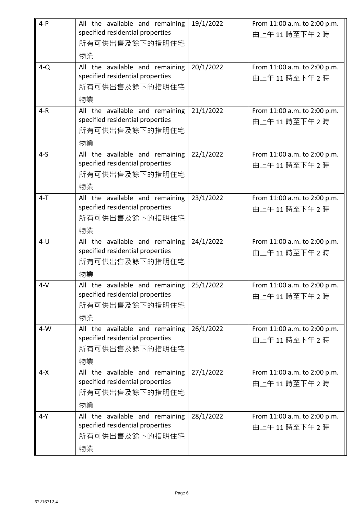| $4-P$   | All the available and remaining<br>specified residential properties | 19/1/2022 | From 11:00 a.m. to 2:00 p.m.                |
|---------|---------------------------------------------------------------------|-----------|---------------------------------------------|
|         | 所有可供出售及餘下的指明住宅                                                      |           | 由上午11時至下午2時                                 |
|         | 物業                                                                  |           |                                             |
| $4-Q$   | All the available and remaining                                     | 20/1/2022 | From 11:00 a.m. to 2:00 p.m.                |
|         | specified residential properties                                    |           | 由上午11時至下午2時                                 |
|         | 所有可供出售及餘下的指明住宅<br>物業                                                |           |                                             |
| $4-R$   | All the available and remaining                                     | 21/1/2022 | From 11:00 a.m. to 2:00 p.m.                |
|         | specified residential properties                                    |           | 由上午11時至下午2時                                 |
|         | 所有可供出售及餘下的指明住宅                                                      |           |                                             |
|         | 物業                                                                  |           |                                             |
| $4-5$   | All the available and remaining<br>specified residential properties | 22/1/2022 | From 11:00 a.m. to 2:00 p.m.<br>由上午11時至下午2時 |
|         | 所有可供出售及餘下的指明住宅                                                      |           |                                             |
|         | 物業                                                                  |           |                                             |
| $4 - T$ | All the available and remaining                                     | 23/1/2022 | From 11:00 a.m. to 2:00 p.m.                |
|         | specified residential properties                                    |           | 由上午11時至下午2時                                 |
|         | 所有可供出售及餘下的指明住宅                                                      |           |                                             |
| $4-U$   | 物業<br>All the available and remaining                               | 24/1/2022 | From 11:00 a.m. to 2:00 p.m.                |
|         | specified residential properties                                    |           | 由上午11時至下午2時                                 |
|         | 所有可供出售及餘下的指明住宅                                                      |           |                                             |
|         | 物業                                                                  |           |                                             |
| $4-V$   | All the available and remaining                                     | 25/1/2022 | From 11:00 a.m. to 2:00 p.m.                |
|         | specified residential properties<br>所有可供出售及餘下的指明住宅                  |           | 由上午11時至下午2時                                 |
|         | 物業                                                                  |           |                                             |
| $4-W$   | All the available and remaining                                     | 26/1/2022 | From 11:00 a.m. to 2:00 p.m.                |
|         | specified residential properties                                    |           | 由上午11時至下午2時                                 |
|         | 所有可供出售及餘下的指明住宅                                                      |           |                                             |
|         | 物業                                                                  |           |                                             |
| $4 - X$ | All the available and remaining<br>specified residential properties | 27/1/2022 | From 11:00 a.m. to 2:00 p.m.<br>由上午11時至下午2時 |
|         | 所有可供出售及餘下的指明住宅                                                      |           |                                             |
|         | 物業                                                                  |           |                                             |
| $4-Y$   | All the available and remaining                                     | 28/1/2022 | From 11:00 a.m. to 2:00 p.m.                |
|         | specified residential properties                                    |           | 由上午11時至下午2時                                 |
|         | 所有可供出售及餘下的指明住宅                                                      |           |                                             |
|         | 物業                                                                  |           |                                             |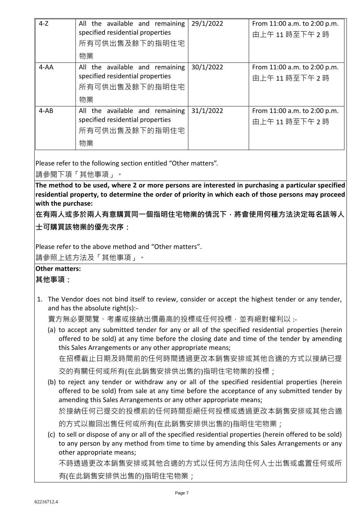| $4-Z$    | All the available and remaining<br>specified residential properties<br>所有可供出售及餘下的指明住宅<br>物業 | 29/1/2022 | From 11:00 a.m. to 2:00 p.m.<br>由上午11時至下午2時 |
|----------|---------------------------------------------------------------------------------------------|-----------|---------------------------------------------|
| $4 - AA$ | All the available and remaining<br>specified residential properties<br>所有可供出售及餘下的指明住宅<br>物業 | 30/1/2022 | From 11:00 a.m. to 2:00 p.m.<br>由上午11時至下午2時 |
| $4-AB$   | All the available and remaining<br>specified residential properties<br>所有可供出售及餘下的指明住宅<br>物業 | 31/1/2022 | From 11:00 a.m. to 2:00 p.m.<br>由上午11時至下午2時 |

Please refer to the following section entitled "Other matters".

請參閱下項「其他事項」。

**The method to be used, where 2 or more persons are interested in purchasing a particular specified residential property, to determine the order of priority in which each of those persons may proceed with the purchase:**

**在有兩人或多於兩人有意購買同一個指明住宅物業的情況下,將會使用何種方法決定每名該等人**

**士可購買該物業的優先次序:**

Please refer to the above method and "Other matters".

請參照上述方法及「其他事項」。

## **Other matters:**

**其他事項:**

1. The Vendor does not bind itself to review, consider or accept the highest tender or any tender, and has the absolute right(s):-

賣方無必要閱覽、考慮或接納出價最高的投標或任何投標,並有絕對權利以 :-

(a) to accept any submitted tender for any or all of the specified residential properties (herein offered to be sold) at any time before the closing date and time of the tender by amending this Sales Arrangements or any other appropriate means;

在招標截止日期及時間前的任何時間透過更改本銷售安排或其他合適的方式以接納已提

交的有關任何或所有(在此銷售安排供出售的)指明住宅物業的投標;

(b) to reject any tender or withdraw any or all of the specified residential properties (herein offered to be sold) from sale at any time before the acceptance of any submitted tender by amending this Sales Arrangements or any other appropriate means;

於接納任何已提交的投標前的任何時間拒絕任何投標或透過更改本銷售安排或其他合適

- 的方式以撤回出售任何或所有(在此銷售安排供出售的)指明住宅物業;
- (c) to sell or dispose of any or all of the specified residential properties (herein offered to be sold) to any person by any method from time to time by amending this Sales Arrangements or any other appropriate means;

不時透過更改本銷售安排或其他合適的方式以任何方法向任何人士出售或處置任何或所 有(在此銷售安排供出售的)指明住宅物業;